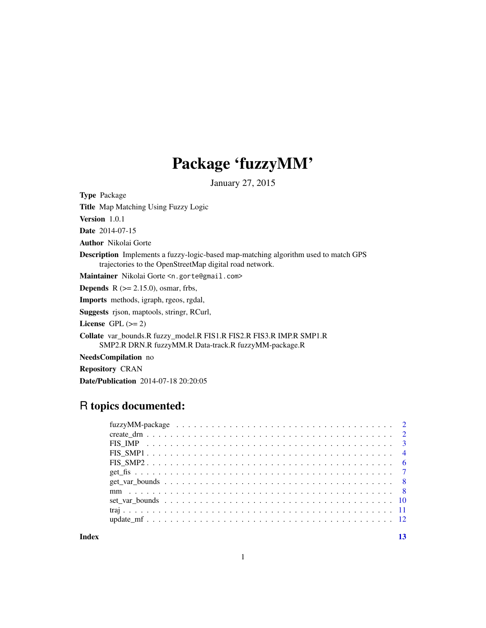# Package 'fuzzyMM'

January 27, 2015

<span id="page-0-0"></span>Type Package

Title Map Matching Using Fuzzy Logic

Version 1.0.1

Date 2014-07-15

Author Nikolai Gorte

Description Implements a fuzzy-logic-based map-matching algorithm used to match GPS trajectories to the OpenStreetMap digital road network.

Maintainer Nikolai Gorte <n.gorte@gmail.com>

**Depends** R  $(>= 2.15.0)$ , osmar, frbs,

Imports methods, igraph, rgeos, rgdal,

Suggests rjson, maptools, stringr, RCurl,

License GPL  $(>= 2)$ 

Collate var\_bounds.R fuzzy\_model.R FIS1.R FIS2.R FIS3.R IMP.R SMP1.R SMP2.R DRN.R fuzzyMM.R Data-track.R fuzzyMM-package.R

NeedsCompilation no

Repository CRAN

Date/Publication 2014-07-18 20:20:05

# R topics documented:

**Index** [13](#page-12-0)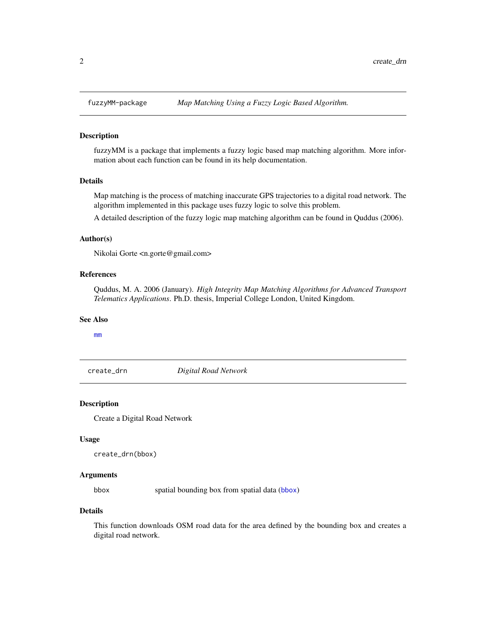<span id="page-1-0"></span>

fuzzyMM is a package that implements a fuzzy logic based map matching algorithm. More information about each function can be found in its help documentation.

# Details

Map matching is the process of matching inaccurate GPS trajectories to a digital road network. The algorithm implemented in this package uses fuzzy logic to solve this problem.

A detailed description of the fuzzy logic map matching algorithm can be found in Quddus (2006).

# Author(s)

Nikolai Gorte <n.gorte@gmail.com>

# References

Quddus, M. A. 2006 (January). *High Integrity Map Matching Algorithms for Advanced Transport Telematics Applications*. Ph.D. thesis, Imperial College London, United Kingdom.

#### See Also

[mm](#page-7-1)

create\_drn *Digital Road Network*

# Description

Create a Digital Road Network

#### Usage

```
create_drn(bbox)
```
#### Arguments

bbox spatial bounding box from spatial data ([bbox](#page-0-0))

# Details

This function downloads OSM road data for the area defined by the bounding box and creates a digital road network.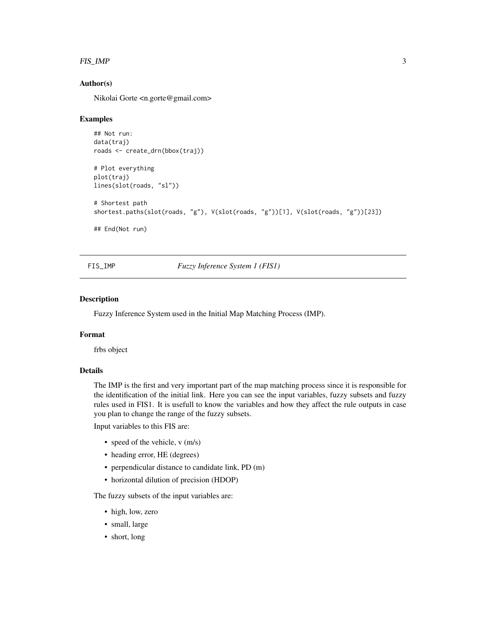#### <span id="page-2-0"></span>FIS\_IMP 3

# Author(s)

Nikolai Gorte <n.gorte@gmail.com>

#### Examples

```
## Not run:
data(traj)
roads <- create_drn(bbox(traj))
# Plot everything
plot(traj)
lines(slot(roads, "sl"))
# Shortest path
shortest.paths(slot(roads, "g"), V(slot(roads, "g"))[1], V(slot(roads, "g"))[23])
## End(Not run)
```
<span id="page-2-1"></span>FIS\_IMP *Fuzzy Inference System 1 (FIS1)*

# Description

Fuzzy Inference System used in the Initial Map Matching Process (IMP).

### Format

frbs object

# Details

The IMP is the first and very important part of the map matching process since it is responsible for the identification of the initial link. Here you can see the input variables, fuzzy subsets and fuzzy rules used in FIS1. It is usefull to know the variables and how they affect the rule outputs in case you plan to change the range of the fuzzy subsets.

Input variables to this FIS are:

- speed of the vehicle, v (m/s)
- heading error, HE (degrees)
- perpendicular distance to candidate link, PD (m)
- horizontal dilution of precision (HDOP)

The fuzzy subsets of the input variables are:

- high, low, zero
- small, large
- short, long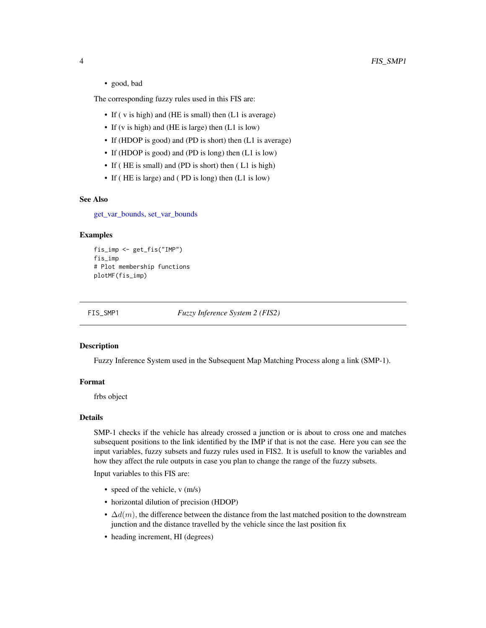<span id="page-3-0"></span>• good, bad

The corresponding fuzzy rules used in this FIS are:

- If ( v is high) and (HE is small) then (L1 is average)
- If (v is high) and (HE is large) then (L1 is low)
- If (HDOP is good) and (PD is short) then (L1 is average)
- If (HDOP is good) and (PD is long) then (L1 is low)
- If (HE is small) and (PD is short) then (L1 is high)
- If (HE is large) and (PD is long) then (L1 is low)

#### See Also

[get\\_var\\_bounds,](#page-7-2) [set\\_var\\_bounds](#page-9-1)

#### Examples

```
fis_imp <- get_fis("IMP")
fis_imp
# Plot membership functions
plotMF(fis_imp)
```
<span id="page-3-1"></span>

FIS\_SMP1 *Fuzzy Inference System 2 (FIS2)*

#### **Description**

Fuzzy Inference System used in the Subsequent Map Matching Process along a link (SMP-1).

#### Format

frbs object

# Details

SMP-1 checks if the vehicle has already crossed a junction or is about to cross one and matches subsequent positions to the link identified by the IMP if that is not the case. Here you can see the input variables, fuzzy subsets and fuzzy rules used in FIS2. It is usefull to know the variables and how they affect the rule outputs in case you plan to change the range of the fuzzy subsets.

Input variables to this FIS are:

- speed of the vehicle, v (m/s)
- horizontal dilution of precision (HDOP)
- $\Delta d(m)$ , the difference between the distance from the last matched position to the downstream junction and the distance travelled by the vehicle since the last position fix
- heading increment, HI (degrees)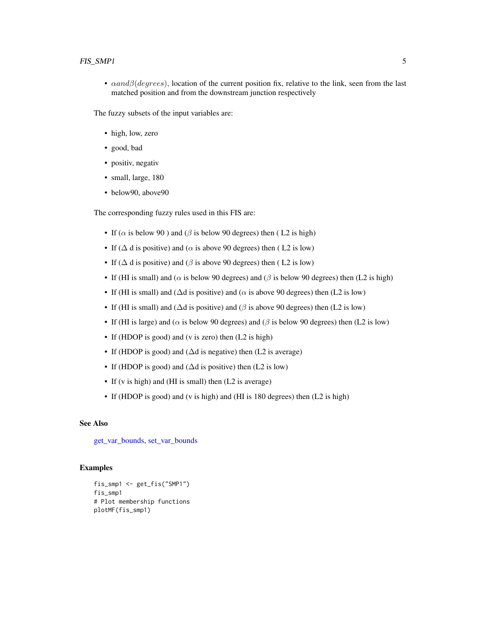#### <span id="page-4-0"></span>FIS\_SMP1 5

•  $\alpha$ and $\beta$ (degrees), location of the current position fix, relative to the link, seen from the last matched position and from the downstream junction respectively

The fuzzy subsets of the input variables are:

- high, low, zero
- good, bad
- positiv, negativ
- small, large, 180
- below90, above90

The corresponding fuzzy rules used in this FIS are:

- If ( $\alpha$  is below 90) and ( $\beta$  is below 90 degrees) then (L2 is high)
- If ( $\Delta$  d is positive) and ( $\alpha$  is above 90 degrees) then (L2 is low)
- If ( $\Delta$  d is positive) and ( $\beta$  is above 90 degrees) then (L2 is low)
- If (HI is small) and ( $\alpha$  is below 90 degrees) and ( $\beta$  is below 90 degrees) then (L2 is high)
- If (HI is small) and ( $\Delta d$  is positive) and ( $\alpha$  is above 90 degrees) then (L2 is low)
- If (HI is small) and ( $\Delta d$  is positive) and ( $\beta$  is above 90 degrees) then (L2 is low)
- If (HI is large) and ( $\alpha$  is below 90 degrees) and ( $\beta$  is below 90 degrees) then (L2 is low)
- If (HDOP is good) and (v is zero) then (L2 is high)
- If (HDOP is good) and ( $\Delta d$  is negative) then (L2 is average)
- If (HDOP is good) and ( $\Delta d$  is positive) then (L2 is low)
- If (v is high) and (HI is small) then (L2 is average)
- If (HDOP is good) and (v is high) and (HI is 180 degrees) then (L2 is high)

# See Also

[get\\_var\\_bounds,](#page-7-2) [set\\_var\\_bounds](#page-9-1)

# Examples

```
fis_smp1 <- get_fis("SMP1")
fis_smp1
# Plot membership functions
plotMF(fis_smp1)
```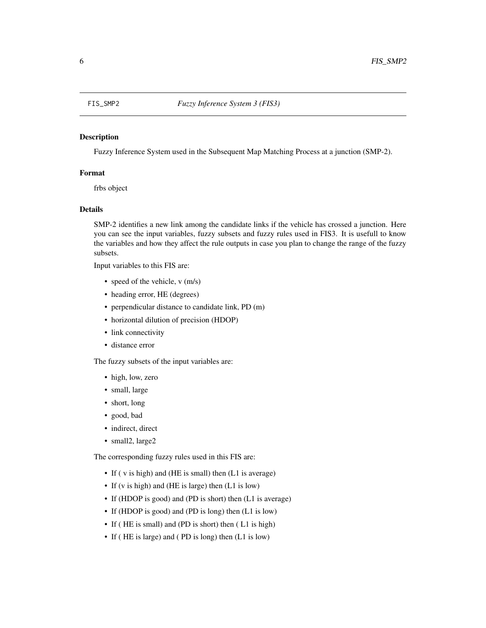<span id="page-5-1"></span><span id="page-5-0"></span>Fuzzy Inference System used in the Subsequent Map Matching Process at a junction (SMP-2).

#### Format

frbs object

# Details

SMP-2 identifies a new link among the candidate links if the vehicle has crossed a junction. Here you can see the input variables, fuzzy subsets and fuzzy rules used in FIS3. It is usefull to know the variables and how they affect the rule outputs in case you plan to change the range of the fuzzy subsets.

Input variables to this FIS are:

- speed of the vehicle, v (m/s)
- heading error, HE (degrees)
- perpendicular distance to candidate link, PD (m)
- horizontal dilution of precision (HDOP)
- link connectivity
- distance error

The fuzzy subsets of the input variables are:

- high, low, zero
- small, large
- short, long
- good, bad
- indirect, direct
- small2, large2

The corresponding fuzzy rules used in this FIS are:

- If ( v is high) and (HE is small) then (L1 is average)
- If (v is high) and (HE is large) then (L1 is low)
- If (HDOP is good) and (PD is short) then (L1 is average)
- If (HDOP is good) and (PD is long) then (L1 is low)
- If (HE is small) and (PD is short) then (L1 is high)
- If (HE is large) and (PD is long) then (L1 is low)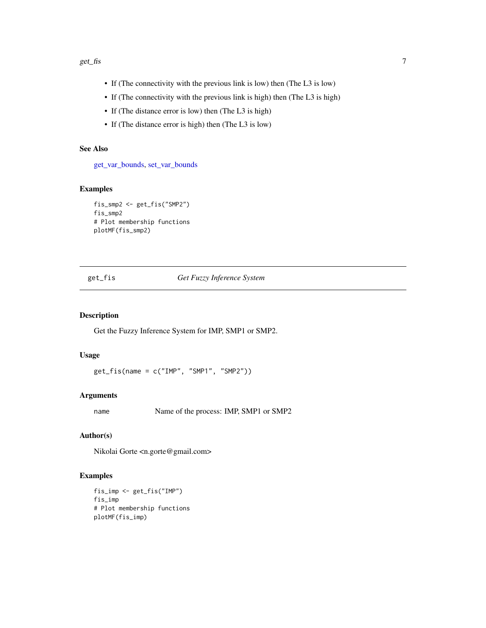<span id="page-6-0"></span>get\_fis  $\sigma$  7

- If (The connectivity with the previous link is low) then (The L3 is low)
- If (The connectivity with the previous link is high) then (The L3 is high)
- If (The distance error is low) then (The L3 is high)
- If (The distance error is high) then (The L3 is low)

# See Also

[get\\_var\\_bounds,](#page-7-2) [set\\_var\\_bounds](#page-9-1)

# Examples

```
fis_smp2 <- get_fis("SMP2")
fis_smp2
# Plot membership functions
plotMF(fis_smp2)
```
# <span id="page-6-1"></span>get\_fis *Get Fuzzy Inference System*

# Description

Get the Fuzzy Inference System for IMP, SMP1 or SMP2.

# Usage

get\_fis(name = c("IMP", "SMP1", "SMP2"))

#### Arguments

name Name of the process: IMP, SMP1 or SMP2

# Author(s)

Nikolai Gorte <n.gorte@gmail.com>

# Examples

fis\_imp <- get\_fis("IMP") fis\_imp # Plot membership functions plotMF(fis\_imp)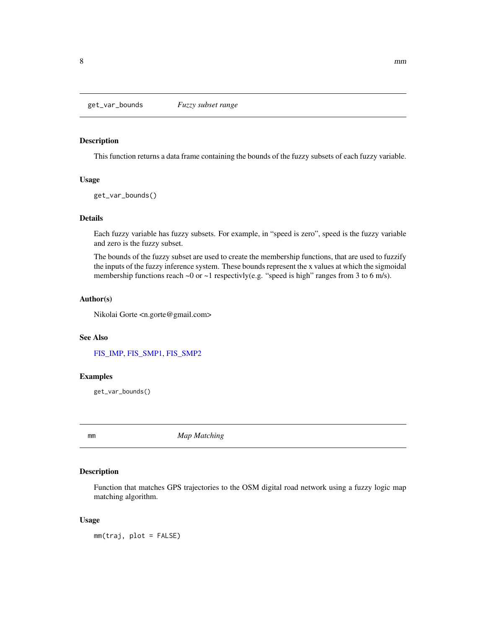<span id="page-7-2"></span><span id="page-7-0"></span>get\_var\_bounds *Fuzzy subset range*

# Description

This function returns a data frame containing the bounds of the fuzzy subsets of each fuzzy variable.

#### Usage

get\_var\_bounds()

# Details

Each fuzzy variable has fuzzy subsets. For example, in "speed is zero", speed is the fuzzy variable and zero is the fuzzy subset.

The bounds of the fuzzy subset are used to create the membership functions, that are used to fuzzify the inputs of the fuzzy inference system. These bounds represent the x values at which the sigmoidal membership functions reach  $\sim 0$  or  $\sim 1$  respectivly(e.g. "speed is high" ranges from 3 to 6 m/s).

# Author(s)

Nikolai Gorte <n.gorte@gmail.com>

# See Also

[FIS\\_IMP,](#page-2-1) [FIS\\_SMP1,](#page-3-1) [FIS\\_SMP2](#page-5-1)

# Examples

get\_var\_bounds()

<span id="page-7-1"></span>mm *Map Matching*

# Description

Function that matches GPS trajectories to the OSM digital road network using a fuzzy logic map matching algorithm.

#### Usage

mm(traj, plot = FALSE)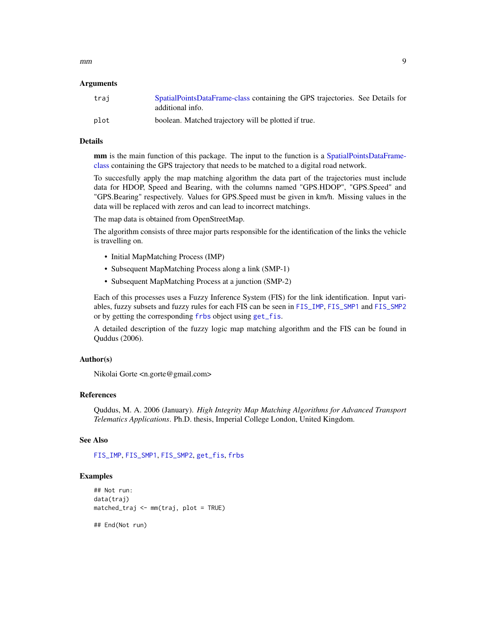<span id="page-8-0"></span> $mm$  9

# Arguments

| traj | SpatialPointsDataFrame-class containing the GPS trajectories. See Details for<br>additional info. |
|------|---------------------------------------------------------------------------------------------------|
| plot | boolean. Matched trajectory will be plotted if true.                                              |

# Details

mm is the main function of this package. The input to the function is a [SpatialPointsDataFrame](#page-0-0)[class](#page-0-0) containing the GPS trajectory that needs to be matched to a digital road network.

To succesfully apply the map matching algorithm the data part of the trajectories must include data for HDOP, Speed and Bearing, with the columns named "GPS.HDOP", "GPS.Speed" and "GPS.Bearing" respectively. Values for GPS.Speed must be given in km/h. Missing values in the data will be replaced with zeros and can lead to incorrect matchings.

The map data is obtained from OpenStreetMap.

The algorithm consists of three major parts responsible for the identification of the links the vehicle is travelling on.

- Initial MapMatching Process (IMP)
- Subsequent MapMatching Process along a link (SMP-1)
- Subsequent MapMatching Process at a junction (SMP-2)

Each of this processes uses a Fuzzy Inference System (FIS) for the link identification. Input variables, fuzzy subsets and fuzzy rules for each FIS can be seen in [FIS\\_IMP](#page-2-1), [FIS\\_SMP1](#page-3-1) and [FIS\\_SMP2](#page-5-1) or by getting the corresponding [frbs](#page-0-0) object using [get\\_fis](#page-6-1).

A detailed description of the fuzzy logic map matching algorithm and the FIS can be found in Quddus (2006).

# Author(s)

Nikolai Gorte <n.gorte@gmail.com>

#### References

Quddus, M. A. 2006 (January). *High Integrity Map Matching Algorithms for Advanced Transport Telematics Applications*. Ph.D. thesis, Imperial College London, United Kingdom.

# See Also

[FIS\\_IMP](#page-2-1), [FIS\\_SMP1](#page-3-1), [FIS\\_SMP2](#page-5-1), [get\\_fis](#page-6-1), [frbs](#page-0-0)

# Examples

```
## Not run:
data(traj)
matched_traj <- mm(traj, plot = TRUE)
```
## End(Not run)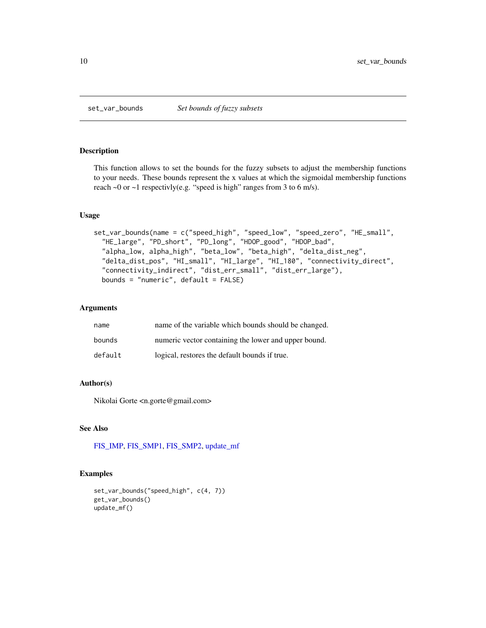<span id="page-9-1"></span><span id="page-9-0"></span>

This function allows to set the bounds for the fuzzy subsets to adjust the membership functions to your needs. These bounds represent the x values at which the sigmoidal membership functions reach ~0 or ~1 respectivly(e.g. "speed is high" ranges from 3 to 6 m/s).

#### Usage

```
set_var_bounds(name = c("speed_high", "speed_low", "speed_zero", "HE_small",
 "HE_large", "PD_short", "PD_long", "HDOP_good", "HDOP_bad",
 "alpha_low, alpha_high", "beta_low", "beta_high", "delta_dist_neg",
  "delta_dist_pos", "HI_small", "HI_large", "HI_180", "connectivity_direct",
  "connectivity_indirect", "dist_err_small", "dist_err_large"),
 bounds = "numeric", default = FALSE)
```
# Arguments

| name    | name of the variable which bounds should be changed. |
|---------|------------------------------------------------------|
| bounds  | numeric vector containing the lower and upper bound. |
| default | logical, restores the default bounds if true.        |

# Author(s)

Nikolai Gorte <n.gorte@gmail.com>

# See Also

[FIS\\_IMP,](#page-2-1) [FIS\\_SMP1,](#page-3-1) [FIS\\_SMP2,](#page-5-1) [update\\_mf](#page-11-1)

# Examples

```
set_var_bounds("speed_high", c(4, 7))
get_var_bounds()
update_mf()
```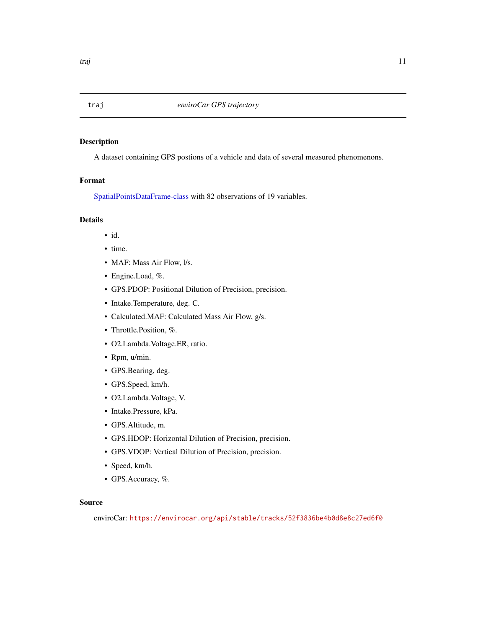A dataset containing GPS postions of a vehicle and data of several measured phenomenons.

# Format

[SpatialPointsDataFrame-class](#page-0-0) with 82 observations of 19 variables.

# Details

- id.
- time.
- MAF: Mass Air Flow, l/s.
- Engine.Load, %.
- GPS.PDOP: Positional Dilution of Precision, precision.
- Intake.Temperature, deg. C.
- Calculated.MAF: Calculated Mass Air Flow, g/s.
- Throttle.Position, %.
- O2.Lambda.Voltage.ER, ratio.
- Rpm, u/min.
- GPS.Bearing, deg.
- GPS.Speed, km/h.
- O2.Lambda.Voltage, V.
- Intake.Pressure, kPa.
- GPS.Altitude, m.
- GPS.HDOP: Horizontal Dilution of Precision, precision.
- GPS.VDOP: Vertical Dilution of Precision, precision.
- Speed, km/h.
- GPS.Accuracy, %.

## Source

enviroCar: <https://envirocar.org/api/stable/tracks/52f3836be4b0d8e8c27ed6f0>

<span id="page-10-0"></span>traj *enviroCar GPS trajectory*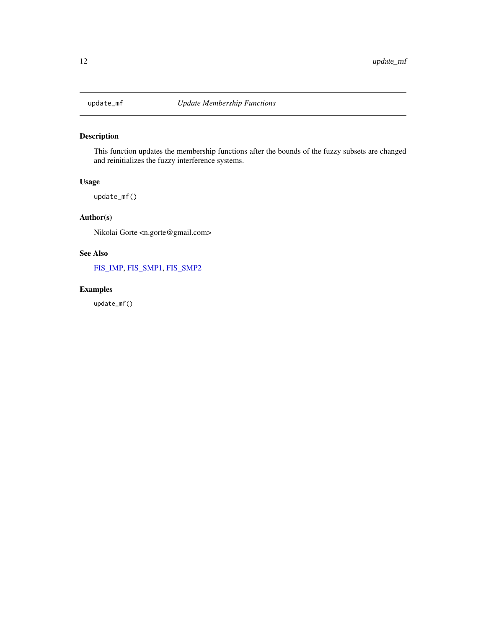<span id="page-11-1"></span><span id="page-11-0"></span>

This function updates the membership functions after the bounds of the fuzzy subsets are changed and reinitializes the fuzzy interference systems.

# Usage

update\_mf()

# Author(s)

Nikolai Gorte <n.gorte@gmail.com>

# See Also

[FIS\\_IMP,](#page-2-1) [FIS\\_SMP1,](#page-3-1) [FIS\\_SMP2](#page-5-1)

# Examples

update\_mf()